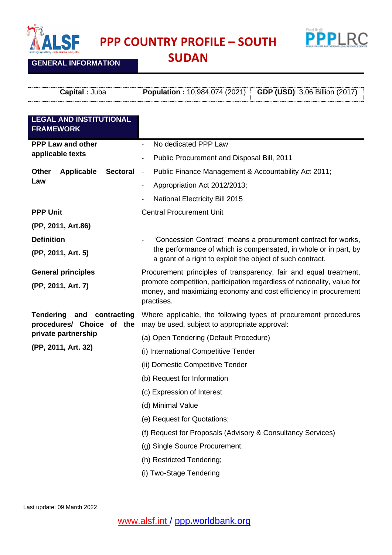

**GENERAL INFORMATION**

**PPP COUNTRY PROFILE – SOUTH** 



**SUDAN**

| Capital : Juba                                                   | <b>Population: 10,984,074 (2021)</b><br><b>GDP (USD): 3,06 Billion (2017)</b>                                                                                                                                                  |
|------------------------------------------------------------------|--------------------------------------------------------------------------------------------------------------------------------------------------------------------------------------------------------------------------------|
| <b>LEGAL AND INSTITUTIONAL</b><br><b>FRAMEWORK</b>               |                                                                                                                                                                                                                                |
| <b>PPP Law and other</b>                                         | No dedicated PPP Law                                                                                                                                                                                                           |
| applicable texts                                                 | Public Procurement and Disposal Bill, 2011<br>$\qquad \qquad \blacksquare$                                                                                                                                                     |
| <b>Other</b><br><b>Applicable</b><br><b>Sectoral</b>             | Public Finance Management & Accountability Act 2011;<br>$\overline{\phantom{a}}$                                                                                                                                               |
| Law                                                              | Appropriation Act 2012/2013;<br>$\overline{\phantom{a}}$                                                                                                                                                                       |
|                                                                  | <b>National Electricity Bill 2015</b>                                                                                                                                                                                          |
| <b>PPP Unit</b>                                                  | <b>Central Procurement Unit</b>                                                                                                                                                                                                |
| (PP, 2011, Art.86)                                               |                                                                                                                                                                                                                                |
| <b>Definition</b><br>(PP, 2011, Art. 5)                          | "Concession Contract" means a procurement contract for works,<br>the performance of which is compensated, in whole or in part, by<br>a grant of a right to exploit the object of such contract.                                |
| <b>General principles</b><br>(PP, 2011, Art. 7)                  | Procurement principles of transparency, fair and equal treatment,<br>promote competition, participation regardless of nationality, value for<br>money, and maximizing economy and cost efficiency in procurement<br>practises. |
| <b>Tendering</b><br>and contracting<br>procedures/ Choice of the | Where applicable, the following types of procurement procedures<br>may be used, subject to appropriate approval:                                                                                                               |
| private partnership                                              | (a) Open Tendering (Default Procedure)                                                                                                                                                                                         |
| (PP, 2011, Art. 32)                                              | (i) International Competitive Tender                                                                                                                                                                                           |
|                                                                  | (ii) Domestic Competitive Tender                                                                                                                                                                                               |
|                                                                  | (b) Request for Information                                                                                                                                                                                                    |
|                                                                  | (c) Expression of Interest                                                                                                                                                                                                     |
|                                                                  | (d) Minimal Value                                                                                                                                                                                                              |
|                                                                  | (e) Request for Quotations;                                                                                                                                                                                                    |
|                                                                  | (f) Request for Proposals (Advisory & Consultancy Services)                                                                                                                                                                    |
|                                                                  | (g) Single Source Procurement.                                                                                                                                                                                                 |
|                                                                  | (h) Restricted Tendering;                                                                                                                                                                                                      |
|                                                                  | (i) Two-Stage Tendering                                                                                                                                                                                                        |